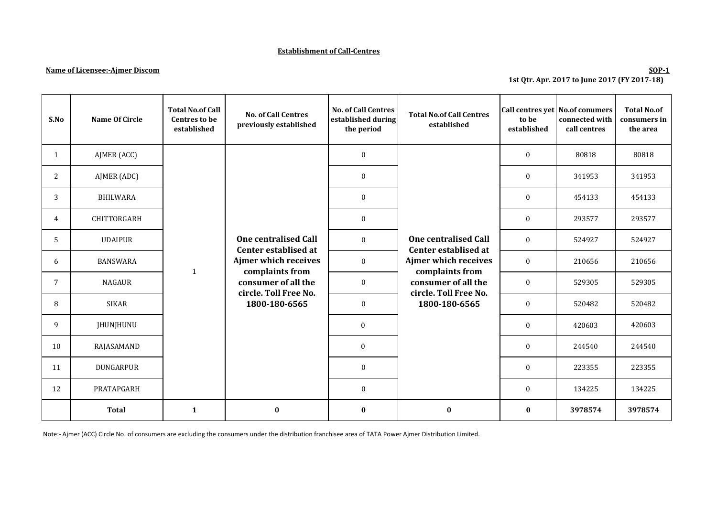### **Establishment of Call-Centres**

### **Name of Licensee:-Ajmer Discom**

## **SOP-1 1st Qtr. Apr. 2017 to June 2017 (FY 2017-18)**

| S.No | Name Of Circle   | <b>Total No.of Call</b><br><b>Centres to be</b><br>established | <b>No. of Call Centres</b><br>previously established                                                                                                            | <b>No. of Call Centres</b><br>established during<br>the period | <b>Total No.of Call Centres</b><br>established                                                                                                                  | to be<br>established | Call centres yet No.of conumers<br>connected with<br>call centres | <b>Total No.of</b><br>consumers in<br>the area |
|------|------------------|----------------------------------------------------------------|-----------------------------------------------------------------------------------------------------------------------------------------------------------------|----------------------------------------------------------------|-----------------------------------------------------------------------------------------------------------------------------------------------------------------|----------------------|-------------------------------------------------------------------|------------------------------------------------|
| 1    | AJMER (ACC)      |                                                                | <b>One centralised Call</b><br>Center establised at<br>Ajmer which receives<br>complaints from<br>consumer of all the<br>circle. Toll Free No.<br>1800-180-6565 | $\boldsymbol{0}$                                               | <b>One centralised Call</b><br>Center establised at<br>Ajmer which receives<br>complaints from<br>consumer of all the<br>circle. Toll Free No.<br>1800-180-6565 | $\boldsymbol{0}$     | 80818                                                             | 80818                                          |
| 2    | AJMER (ADC)      |                                                                |                                                                                                                                                                 | $\bf{0}$                                                       |                                                                                                                                                                 | $\mathbf{0}$         | 341953                                                            | 341953                                         |
| 3    | <b>BHILWARA</b>  |                                                                |                                                                                                                                                                 | $\bf{0}$                                                       |                                                                                                                                                                 | $\mathbf{0}$         | 454133                                                            | 454133                                         |
| 4    | CHITTORGARH      |                                                                |                                                                                                                                                                 | $\boldsymbol{0}$                                               |                                                                                                                                                                 | $\bf{0}$             | 293577                                                            | 293577                                         |
| 5    | <b>UDAIPUR</b>   |                                                                |                                                                                                                                                                 | $\boldsymbol{0}$                                               |                                                                                                                                                                 | $\mathbf{0}$         | 524927                                                            | 524927                                         |
| 6    | <b>BANSWARA</b>  | $\mathbf{1}$                                                   |                                                                                                                                                                 | $\boldsymbol{0}$                                               |                                                                                                                                                                 | $\bf{0}$             | 210656                                                            | 210656                                         |
| 7    | <b>NAGAUR</b>    |                                                                |                                                                                                                                                                 | $\mathbf{0}$                                                   |                                                                                                                                                                 | $\mathbf{0}$         | 529305                                                            | 529305                                         |
| 8    | <b>SIKAR</b>     |                                                                |                                                                                                                                                                 | $\boldsymbol{0}$                                               |                                                                                                                                                                 | $\bf{0}$             | 520482                                                            | 520482                                         |
| 9    | <b>IHUNIHUNU</b> |                                                                |                                                                                                                                                                 | $\mathbf{0}$                                                   |                                                                                                                                                                 | $\mathbf{0}$         | 420603                                                            | 420603                                         |
| 10   | RAJASAMAND       |                                                                |                                                                                                                                                                 | $\mathbf{0}$                                                   |                                                                                                                                                                 | $\mathbf{0}$         | 244540                                                            | 244540                                         |
| 11   | DUNGARPUR        |                                                                |                                                                                                                                                                 | $\bf{0}$                                                       |                                                                                                                                                                 | 0                    | 223355                                                            | 223355                                         |
| 12   | PRATAPGARH       |                                                                |                                                                                                                                                                 | $\boldsymbol{0}$                                               |                                                                                                                                                                 | $\bf{0}$             | 134225                                                            | 134225                                         |
|      | <b>Total</b>     | $\mathbf{1}$                                                   | $\bf{0}$                                                                                                                                                        | $\bf{0}$                                                       | $\bf{0}$                                                                                                                                                        | $\bf{0}$             | 3978574                                                           | 3978574                                        |

Note:- Ajmer (ACC) Circle No. of consumers are excluding the consumers under the distribution franchisee area of TATA Power Ajmer Distribution Limited.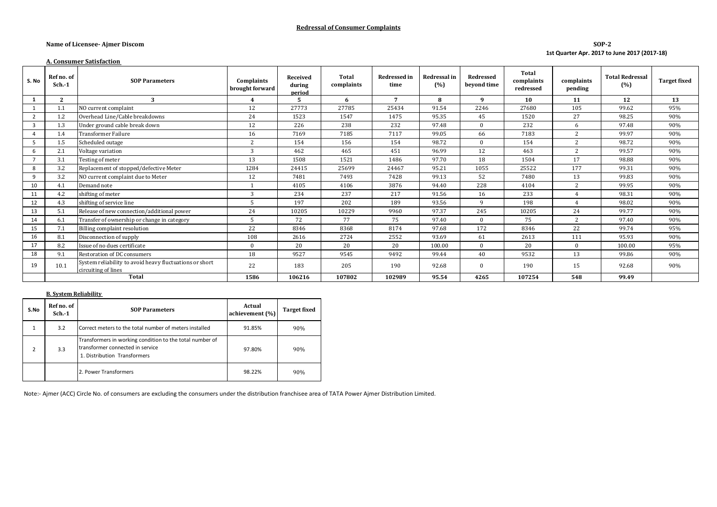### **Redressal of Consumer Complaints**

#### **Name of Licensee- Ajmer Discom**

### **SOP-2 1st Quarter Apr. 2017 to June 2017 (2017-18)**

#### **A. Consumer Satisfaction**

| S. No          | Ref no. of<br>$Sch. -1$ | <b>SOP Parameters</b>                                                          | Complaints<br>brought forward | <b>Received</b><br>during<br>period | Total<br>complaints | <b>Redressed in</b><br>time | <b>Redressal</b> in<br>(%) | <b>Redressed</b><br>beyond time | Total<br>complaints<br>redressed | complaints<br>pending | <b>Total Redressal</b><br>(% ) | <b>Target fixed</b> |
|----------------|-------------------------|--------------------------------------------------------------------------------|-------------------------------|-------------------------------------|---------------------|-----------------------------|----------------------------|---------------------------------|----------------------------------|-----------------------|--------------------------------|---------------------|
|                | $\mathbf{2}$            | 3                                                                              | $\overline{\mathbf{4}}$       | 5                                   | 6                   | 7                           | 8                          | 9                               | 10                               | 11                    | 12                             | 13                  |
|                | 1.1                     | NO current complaint                                                           | 12                            | 27773                               | 27785               | 25434                       | 91.54                      | 2246                            | 27680                            | 105                   | 99.62                          | 95%                 |
| $\overline{2}$ | 1.2                     | Overhead Line/Cable breakdowns                                                 | 24                            | 1523                                | 1547                | 1475                        | 95.35                      | 45                              | 1520                             | 27                    | 98.25                          | 90%                 |
| 3              | 1.3                     | Under ground cable break down                                                  | 12                            | 226                                 | 238                 | 232                         | 97.48                      | $\Omega$                        | 232                              | 6                     | 97.48                          | 90%                 |
|                | 1.4                     | Transformer Failure                                                            | 16                            | 7169                                | 7185                | 7117                        | 99.05                      | 66                              | 7183                             | $\overline{c}$        | 99.97                          | 90%                 |
|                | 1.5                     | Scheduled outage                                                               | $\overline{c}$                | 154                                 | 156                 | 154                         | 98.72                      | $\Omega$                        | 154                              | $\overline{c}$        | 98.72                          | 90%                 |
| 6              | 2.1                     | Voltage variation                                                              | 3                             | 462                                 | 465                 | 451                         | 96.99                      | 12                              | 463                              | $\overline{c}$        | 99.57                          | 90%                 |
|                | 3.1                     | Testing of meter                                                               | 13                            | 1508                                | 1521                | 1486                        | 97.70                      | 18                              | 1504                             | 17                    | 98.88                          | 90%                 |
| 8              | 3.2                     | Replacement of stopped/defective Meter                                         | 1284                          | 24415                               | 25699               | 24467                       | 95.21                      | 1055                            | 25522                            | 177                   | 99.31                          | 90%                 |
| 9              | 3.2                     | NO current complaint due to Meter                                              | 12                            | 7481                                | 7493                | 7428                        | 99.13                      | 52                              | 7480                             | 13                    | 99.83                          | 90%                 |
| 10             | 4.1                     | Demand note                                                                    |                               | 4105                                | 4106                | 3876                        | 94.40                      | 228                             | 4104                             | 2                     | 99.95                          | 90%                 |
| 11             | 4.2                     | shifting of meter                                                              | 3                             | 234                                 | 237                 | 217                         | 91.56                      | 16                              | 233                              |                       | 98.31                          | 90%                 |
| 12             | 4.3                     | shifting of service line                                                       |                               | 197                                 | 202                 | 189                         | 93.56                      | q                               | 198                              |                       | 98.02                          | 90%                 |
| 13             | 5.1                     | Release of new connection/additional power                                     | 24                            | 10205                               | 10229               | 9960                        | 97.37                      | 245                             | 10205                            | 24                    | 99.77                          | 90%                 |
| 14             | 6.1                     | Transfer of ownership or change in category                                    |                               | 72                                  | 77                  | 75                          | 97.40                      | $\Omega$                        | 75                               | 2                     | 97.40                          | 90%                 |
| 15             | 7.1                     | Billing complaint resolution                                                   | 22                            | 8346                                | 8368                | 8174                        | 97.68                      | 172                             | 8346                             | 22                    | 99.74                          | 95%                 |
| 16             | 8.1                     | Disconnection of supply                                                        | 108                           | 2616                                | 2724                | 2552                        | 93.69                      | 61                              | 2613                             | 111                   | 95.93                          | 90%                 |
| 17             | 8.2                     | Issue of no dues certificate                                                   | $\Omega$                      | 20                                  | 20                  | 20                          | 100.00                     | $\Omega$                        | 20                               | $\Omega$              | 100.00                         | 95%                 |
| 18             | 9.1                     | Restoration of DC consumers                                                    | 18                            | 9527                                | 9545                | 9492                        | 99.44                      | 40                              | 9532                             | 13                    | 99.86                          | 90%                 |
| 19             | 10.1                    | System reliability to avoid heavy fluctuations or short<br>circuiting of lines | 22                            | 183                                 | 205                 | 190                         | 92.68                      | $\Omega$                        | 190                              | 15                    | 92.68                          | 90%                 |
|                | <b>Total</b>            |                                                                                | 1586                          | 106216                              | 107802              | 102989                      | 95.54                      | 4265                            | 107254                           | 548                   | 99.49                          |                     |

#### **B. System Reliability**

| S.No          | Ref no. of<br>$Sch.-1$ | <b>SOP Parameters</b>                                                                                                        | Actual<br>achievement (%) | <b>Target fixed</b> |
|---------------|------------------------|------------------------------------------------------------------------------------------------------------------------------|---------------------------|---------------------|
|               | 3.2                    | Correct meters to the total number of meters installed                                                                       | 91.85%                    | 90%                 |
| $\mathcal{P}$ | 3.3                    | Transformers in working condition to the total number of<br>transformer connected in service<br>1. Distribution Transformers | 97.80%                    | 90%                 |
|               |                        | 2. Power Transformers                                                                                                        | 98.22%                    | 90%                 |

Note:- Ajmer (ACC) Circle No. of consumers are excluding the consumers under the distribution franchisee area of TATA Power Ajmer Distribution Limited.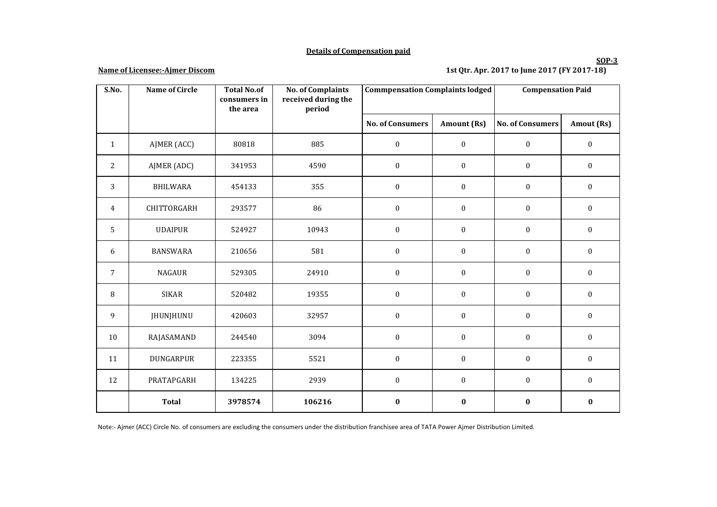## **Details of Compensation paid**

### **Name of Licensee:-Ajmer Discom**

# **1st Qtr. Apr. 2017 to June 2017 (FY 2017-18)**

| S.No.          | <b>Name of Circle</b> | <b>Total No.of</b><br>consumers in | <b>No. of Complaints</b><br>received during the | <b>Commpensation Complaints lodged</b> |                    | <b>Compensation Paid</b> |                  |
|----------------|-----------------------|------------------------------------|-------------------------------------------------|----------------------------------------|--------------------|--------------------------|------------------|
|                |                       | the area                           | period                                          |                                        |                    |                          |                  |
|                |                       |                                    |                                                 | <b>No. of Consumers</b>                | <b>Amount (Rs)</b> | <b>No. of Consumers</b>  | Amout (Rs)       |
| $\mathbf{1}$   | AJMER (ACC)           | 80818                              | 885                                             | $\boldsymbol{0}$                       | $\boldsymbol{0}$   | $\boldsymbol{0}$         | $\boldsymbol{0}$ |
| 2              | AJMER (ADC)           | 341953                             | 4590                                            | $\boldsymbol{0}$                       | $\boldsymbol{0}$   | $\bf{0}$                 | $\boldsymbol{0}$ |
| 3              | <b>BHILWARA</b>       | 454133                             | 355                                             | $\boldsymbol{0}$                       | $\boldsymbol{0}$   | $\boldsymbol{0}$         | $\boldsymbol{0}$ |
| 4              | CHITTORGARH           | 293577                             | 86                                              | $\boldsymbol{0}$                       | $\boldsymbol{0}$   | $\mathbf{0}$             | $\boldsymbol{0}$ |
| 5              | <b>UDAIPUR</b>        | 524927                             | 10943                                           | $\boldsymbol{0}$                       | $\boldsymbol{0}$   | $\mathbf{0}$             | $\boldsymbol{0}$ |
| 6              | <b>BANSWARA</b>       | 210656                             | 581                                             | $\boldsymbol{0}$                       | $\boldsymbol{0}$   | $\mathbf{0}$             | $\boldsymbol{0}$ |
| $\overline{7}$ | <b>NAGAUR</b>         | 529305                             | 24910                                           | $\boldsymbol{0}$                       | $\boldsymbol{0}$   | $\mathbf{0}$             | $\boldsymbol{0}$ |
| 8              | <b>SIKAR</b>          | 520482                             | 19355                                           | $\boldsymbol{0}$                       | $\boldsymbol{0}$   | $\boldsymbol{0}$         | $\boldsymbol{0}$ |
| 9              | JHUNJHUNU             | 420603                             | 32957                                           | $\boldsymbol{0}$                       | $\boldsymbol{0}$   | $\boldsymbol{0}$         | $\boldsymbol{0}$ |
| $10\,$         | RAJASAMAND            | 244540                             | 3094                                            | $\boldsymbol{0}$                       | $\boldsymbol{0}$   | $\boldsymbol{0}$         | $\boldsymbol{0}$ |
| 11             | <b>DUNGARPUR</b>      | 223355                             | 5521                                            | $\boldsymbol{0}$                       | $\boldsymbol{0}$   | $\bf{0}$                 | $\boldsymbol{0}$ |
| 12             | PRATAPGARH            | 134225                             | 2939                                            | $\boldsymbol{0}$                       | $\boldsymbol{0}$   | $\boldsymbol{0}$         | $\boldsymbol{0}$ |
|                | <b>Total</b>          | 3978574                            | 106216                                          | $\bf{0}$                               | $\bf{0}$           | $\bf{0}$                 | $\boldsymbol{0}$ |

Note:- Ajmer (ACC) Circle No. of consumers are excluding the consumers under the distribution franchisee area of TATA Power Ajmer Distribution Limited.

### **SOP-3**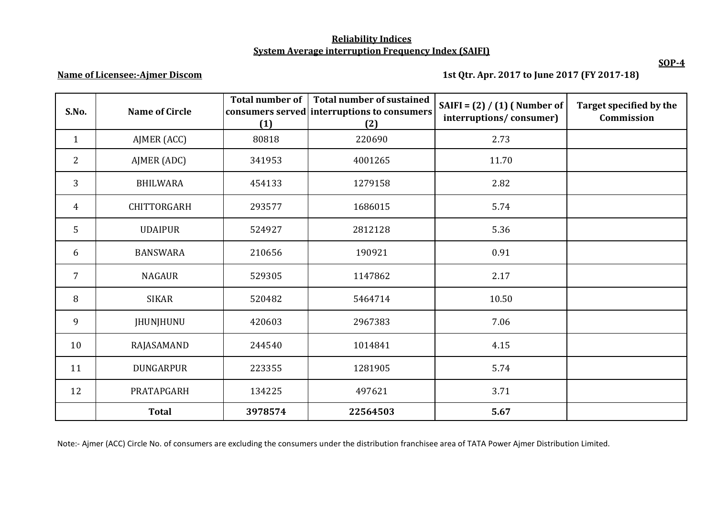# **Reliability Indices System Average interruption Frequency Index (SAIFI)**

**Name of Licensee:-Ajmer Discom**

 **1st Qtr. Apr. 2017 to June 2017 (FY 2017-18)**

| S.No.          | <b>Name of Circle</b> | <b>Total number of</b><br>(1) | <b>Total number of sustained</b><br>consumers served interruptions to consumers<br>(2) | SAIFI = $(2) / (1)$ (Number of<br>interruptions/consumer) | Target specified by the<br>Commission |
|----------------|-----------------------|-------------------------------|----------------------------------------------------------------------------------------|-----------------------------------------------------------|---------------------------------------|
| $\mathbf{1}$   | AJMER (ACC)           | 80818                         | 220690                                                                                 | 2.73                                                      |                                       |
| $\overline{2}$ | AJMER (ADC)           | 341953                        | 4001265                                                                                | 11.70                                                     |                                       |
| 3              | <b>BHILWARA</b>       | 454133                        | 1279158                                                                                | 2.82                                                      |                                       |
| $\overline{4}$ | CHITTORGARH           | 293577                        | 1686015                                                                                | 5.74                                                      |                                       |
| 5              | <b>UDAIPUR</b>        | 524927                        | 2812128                                                                                | 5.36                                                      |                                       |
| 6              | <b>BANSWARA</b>       | 210656                        | 190921                                                                                 | 0.91                                                      |                                       |
| 7              | <b>NAGAUR</b>         | 529305                        | 1147862                                                                                | 2.17                                                      |                                       |
| 8              | <b>SIKAR</b>          | 520482                        | 5464714                                                                                | 10.50                                                     |                                       |
| 9              | <b>JHUNJHUNU</b>      | 420603                        | 2967383                                                                                | 7.06                                                      |                                       |
| 10             | RAJASAMAND            | 244540                        | 1014841                                                                                | 4.15                                                      |                                       |
| 11             | <b>DUNGARPUR</b>      | 223355                        | 1281905                                                                                | 5.74                                                      |                                       |
| 12             | PRATAPGARH            | 134225                        | 497621                                                                                 | 3.71                                                      |                                       |
|                | <b>Total</b>          | 3978574                       | 22564503                                                                               | 5.67                                                      |                                       |

Note:- Ajmer (ACC) Circle No. of consumers are excluding the consumers under the distribution franchisee area of TATA Power Ajmer Distribution Limited.

**SOP-4**